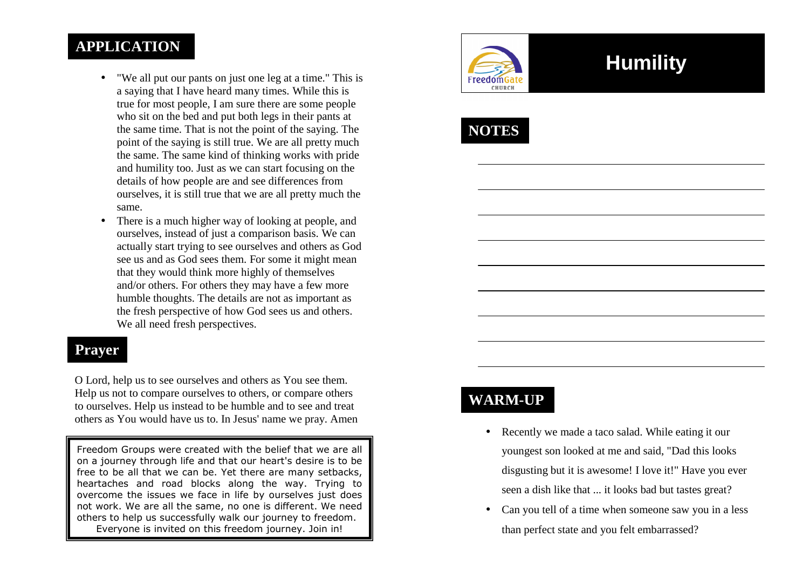### **APPLICATION**

- • "We all put our pants on just one leg at a time." This is a saying that I have heard many times. While this is true for most people, I am sure there are some people who sit on the bed and put both legs in their pants at the same time. That is not the point of the saying. The point of the saying is still true. We are all pretty much the same. The same kind of thinking works with pride and humility too. Just as we can start focusing on the details of how people are and see differences from ourselves, it is still true that we are all pretty much the same.
- • There is a much higher way of looking at people, and ourselves, instead of just a comparison basis. We can actually start trying to see ourselves and others as God see us and as God sees them. For some it might meanthat they would think more highly of themselves and/or others. For others they may have a few more humble thoughts. The details are not as important as the fresh perspective of how God sees us and others. We all need fresh perspectives.

#### **Prayer**

O Lord, help us to see ourselves and others as You see them. Help us not to compare ourselves to others, or compare others to ourselves. Help us instead to be humble and to see and treat others as You would have us to. In Jesus' name we pray. Amen

Freedom Groups were created with the belief that we are all on a journey through life and that our heart's desire is to be free to be all that we can be. Yet there are many setbacks, heartaches and road blocks along the way. Trying to overcome the issues we face in life by ourselves just does not work. We are all the same, no one is different. We need others to help us successfully walk our journey to freedom. Everyone is invited on this freedom journey. Join in!



# **Humility**



### **WARM-UP**

- Recently we made a taco salad. While eating it our youngest son looked at me and said, "Dad this looksdisgusting but it is awesome! I love it!" Have you ever seen a dish like that ... it looks bad but tastes great?
- Can you tell of a time when someone saw you in a less than perfect state and you felt embarrassed?